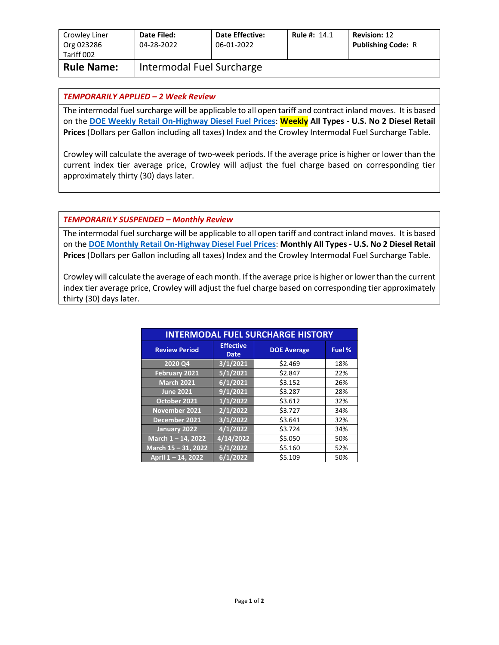| Crowley Liner<br>Org 023286<br>Tariff 002 | Date Filed:<br>04-28-2022 | <b>Date Effective:</b><br>06-01-2022 | <b>Rule #: 14.1</b> | <b>Revision: 12</b><br><b>Publishing Code: R</b> |
|-------------------------------------------|---------------------------|--------------------------------------|---------------------|--------------------------------------------------|
| <b>Rule Name:</b>                         | Intermodal Fuel Surcharge |                                      |                     |                                                  |

## *TEMPORARILY APPLIED – 2 Week Review*

The intermodal fuel surcharge will be applicable to all open tariff and contract inland moves. It is based on the **[DOE Weekly Retail On-Highway Diesel Fuel Prices](https://www.eia.gov/petroleum/gasdiesel/)**: **Weekly All Types - U.S. No 2 Diesel Retail Prices** (Dollars per Gallon including all taxes) Index and the Crowley Intermodal Fuel Surcharge Table.

Crowley will calculate the average of two-week periods. If the average price is higher or lower than the current index tier average price, Crowley will adjust the fuel charge based on corresponding tier approximately thirty (30) days later.

## *TEMPORARILY SUSPENDED – Monthly Review*

The intermodal fuel surcharge will be applicable to all open tariff and contract inland moves. It is based on the **[DOE Monthly Retail On-Highway Diesel Fuel Prices](https://www.eia.gov/petroleum/gasdiesel/)**: **Monthly All Types - U.S. No 2 Diesel Retail Prices** (Dollars per Gallon including all taxes) Index and the Crowley Intermodal Fuel Surcharge Table.

Crowley will calculate the average of each month. If the average price is higher or lower than the current index tier average price, Crowley will adjust the fuel charge based on corresponding tier approximately thirty (30) days later.

| <b>INTERMODAL FUEL SURCHARGE HISTORY</b> |                                 |                    |        |  |
|------------------------------------------|---------------------------------|--------------------|--------|--|
| <b>Review Period</b>                     | <b>Effective</b><br><b>Date</b> | <b>DOE Average</b> | Fuel % |  |
| 2020 Q4                                  | 3/1/2021                        | \$2.469            | 18%    |  |
| February 2021                            | 5/1/2021                        | \$2.847            | 22%    |  |
| <b>March 2021</b>                        | 6/1/2021                        | \$3.152            | 26%    |  |
| <b>June 2021</b>                         | 9/1/2021                        | \$3.287            | 28%    |  |
| October 2021                             | 1/1/2022                        | \$3.612            | 32%    |  |
| November 2021                            | $\sqrt{2}/1/2022$               | \$3.727            | 34%    |  |
| December 2021                            | 3/1/2022                        | \$3.641            | 32%    |  |
| January 2022                             | 4/1/2022                        | \$3.724            | 34%    |  |
| March 1-14, 2022                         | $\sqrt{4/14/2022}$              | \$5.050            | 50%    |  |
| March 15 - 31, 2022                      | 5/1/2022                        | \$5.160            | 52%    |  |
| April 1-14, 2022                         | 6/1/2022                        | \$5.109            | 50%    |  |